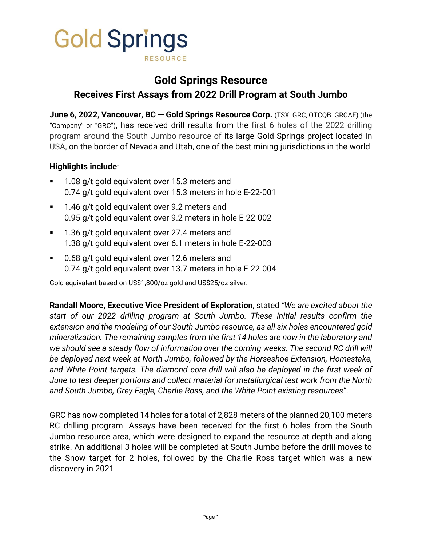

# **Gold Springs Resource Receives First Assays from 2022 Drill Program at South Jumbo**

**June 6, 2022, Vancouver, BC — Gold Springs Resource Corp.** (TSX: GRC, OTCQB: GRCAF) (the "Company" or "GRC"), has received drill results from the first 6 holes of the 2022 drilling program around the South Jumbo resource of its large Gold Springs project located in USA, on the border of Nevada and Utah, one of the best mining jurisdictions in the world.

## **Highlights include**:

- 1.08 g/t gold equivalent over 15.3 meters and 0.74 g/t gold equivalent over 15.3 meters in hole E-22-001
- 1.46 g/t gold equivalent over 9.2 meters and 0.95 g/t gold equivalent over 9.2 meters in hole E-22-002
- 1.36 g/t gold equivalent over 27.4 meters and 1.38 g/t gold equivalent over 6.1 meters in hole E-22-003
- 0.68 g/t gold equivalent over 12.6 meters and 0.74 g/t gold equivalent over 13.7 meters in hole E-22-004

Gold equivalent based on US\$1,800/oz gold and US\$25/oz silver.

**Randall Moore, Executive Vice President of Exploration**, stated *"We are excited about the start of our 2022 drilling program at South Jumbo. These initial results confirm the extension and the modeling of our South Jumbo resource, as all six holes encountered gold mineralization. The remaining samples from the first 14 holes are now in the laboratory and we should see a steady flow of information over the coming weeks. The second RC drill will be deployed next week at North Jumbo, followed by the Horseshoe Extension, Homestake, and White Point targets. The diamond core drill will also be deployed in the first week of June to test deeper portions and collect material for metallurgical test work from the North and South Jumbo, Grey Eagle, Charlie Ross, and the White Point existing resources"*.

GRC has now completed 14 holes for a total of 2,828 meters of the planned 20,100 meters RC drilling program. Assays have been received for the first 6 holes from the South Jumbo resource area, which were designed to expand the resource at depth and along strike. An additional 3 holes will be completed at South Jumbo before the drill moves to the Snow target for 2 holes, followed by the Charlie Ross target which was a new discovery in 2021.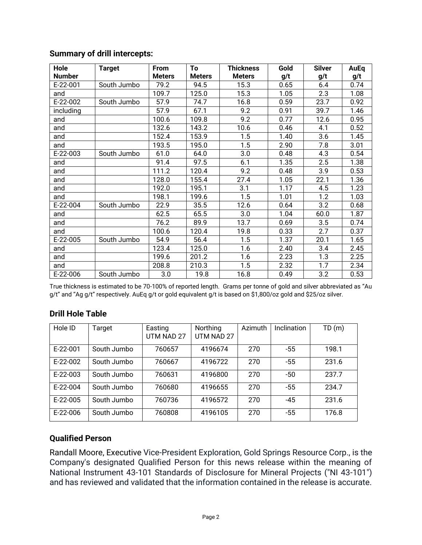| Hole          | <b>Target</b> | From          | To            | <b>Thickness</b> | Gold | <b>Silver</b> | AuEq |
|---------------|---------------|---------------|---------------|------------------|------|---------------|------|
| <b>Number</b> |               | <b>Meters</b> | <b>Meters</b> | <b>Meters</b>    | g/t  | g/t           | g/t  |
| E-22-001      | South Jumbo   | 79.2          | 94.5          | 15.3             | 0.65 | 6.4           | 0.74 |
| and           |               | 109.7         | 125.0         | 15.3             | 1.05 | 2.3           | 1.08 |
| E-22-002      | South Jumbo   | 57.9          | 74.7          | 16.8             | 0.59 | 23.7          | 0.92 |
| including     |               | 57.9          | 67.1          | 9.2              | 0.91 | 39.7          | 1.46 |
| and           |               | 100.6         | 109.8         | 9.2              | 0.77 | 12.6          | 0.95 |
| and           |               | 132.6         | 143.2         | 10.6             | 0.46 | 4.1           | 0.52 |
| and           |               | 152.4         | 153.9         | 1.5              | 1.40 | 3.6           | 1.45 |
| and           |               | 193.5         | 195.0         | 1.5              | 2.90 | 7.8           | 3.01 |
| E-22-003      | South Jumbo   | 61.0          | 64.0          | 3.0              | 0.48 | 4.3           | 0.54 |
| and           |               | 91.4          | 97.5          | 6.1              | 1.35 | 2.5           | 1.38 |
| and           |               | 111.2         | 120.4         | 9.2              | 0.48 | 3.9           | 0.53 |
| and           |               | 128.0         | 155.4         | 27.4             | 1.05 | 22.1          | 1.36 |
| and           |               | 192.0         | 195.1         | 3.1              | 1.17 | 4.5           | 1.23 |
| and           |               | 198.1         | 199.6         | 1.5              | 1.01 | 1.2           | 1.03 |
| E-22-004      | South Jumbo   | 22.9          | 35.5          | 12.6             | 0.64 | 3.2           | 0.68 |
| and           |               | 62.5          | 65.5          | 3.0              | 1.04 | 60.0          | 1.87 |
| and           |               | 76.2          | 89.9          | 13.7             | 0.69 | 3.5           | 0.74 |
| and           |               | 100.6         | 120.4         | 19.8             | 0.33 | 2.7           | 0.37 |
| E-22-005      | South Jumbo   | 54.9          | 56.4          | 1.5              | 1.37 | 20.1          | 1.65 |
| and           |               | 123.4         | 125.0         | 1.6              | 2.40 | 3.4           | 2.45 |
| and           |               | 199.6         | 201.2         | 1.6              | 2.23 | 1.3           | 2.25 |
| and           |               | 208.8         | 210.3         | 1.5              | 2.32 | 1.7           | 2.34 |
| E-22-006      | South Jumbo   | 3.0           | 19.8          | 16.8             | 0.49 | 3.2           | 0.53 |

# **Summary of drill intercepts:**

True thickness is estimated to be 70-100% of reported length. Grams per tonne of gold and silver abbreviated as "Au g/t" and "Ag g/t" respectively. AuEq g/t or gold equivalent g/t is based on \$1,800/oz gold and \$25/oz silver.

# **Drill Hole Table**

| Hole ID    | Target      | Easting    | Northing   | Azimuth | <b>Inclination</b> | TD(m) |
|------------|-------------|------------|------------|---------|--------------------|-------|
|            |             | UTM NAD 27 | UTM NAD 27 |         |                    |       |
| $E-22-001$ | South Jumbo | 760657     | 4196674    | 270     | $-55$              | 198.1 |
| $E-22-002$ | South Jumbo | 760667     | 4196722    | 270     | $-55$              | 231.6 |
| $E-22-003$ | South Jumbo | 760631     | 4196800    | 270     | -50                | 237.7 |
| $E-22-004$ | South Jumbo | 760680     | 4196655    | 270     | $-55$              | 234.7 |
| $E-22-005$ | South Jumbo | 760736     | 4196572    | 270     | $-45$              | 231.6 |
| $E-22-006$ | South Jumbo | 760808     | 4196105    | 270     | $-55$              | 176.8 |

#### **Qualified Person**

Randall Moore, Executive Vice-President Exploration, Gold Springs Resource Corp., is the Company's designated Qualified Person for this news release within the meaning of National Instrument 43-101 Standards of Disclosure for Mineral Projects ("NI 43-101") and has reviewed and validated that the information contained in the release is accurate.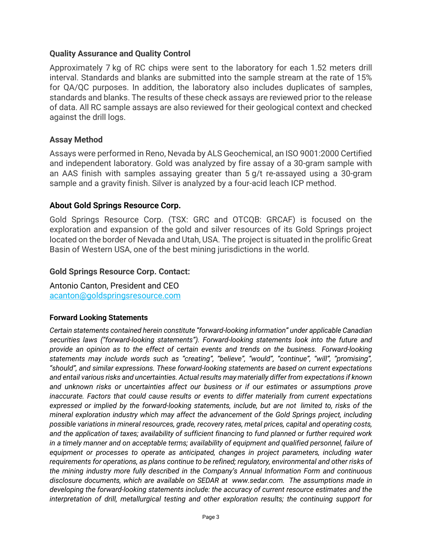# **Quality Assurance and Quality Control**

Approximately 7 kg of RC chips were sent to the laboratory for each 1.52 meters drill interval. Standards and blanks are submitted into the sample stream at the rate of 15% for QA/QC purposes. In addition, the laboratory also includes duplicates of samples, standards and blanks. The results of these check assays are reviewed prior to the release of data. All RC sample assays are also reviewed for their geological context and checked against the drill logs.

# **Assay Method**

Assays were performed in Reno, Nevada by ALS Geochemical, an ISO 9001:2000 Certified and independent laboratory. Gold was analyzed by fire assay of a 30-gram sample with an AAS finish with samples assaying greater than 5 g/t re-assayed using a 30-gram sample and a gravity finish. Silver is analyzed by a four-acid leach ICP method.

## **About Gold Springs Resource Corp.**

Gold Springs Resource Corp. (TSX: GRC and OTCQB: GRCAF) is focused on the exploration and expansion of the gold and silver resources of its Gold Springs project located on the border of Nevada and Utah, USA. The project is situated in the prolific Great Basin of Western USA, one of the best mining jurisdictions in the world.

## **Gold Springs Resource Corp. Contact:**

Antonio Canton, President and CEO [acanton@goldspringsresource.com](about:blank)

#### **Forward Looking Statements**

*Certain statements contained herein constitute "forward-looking information" under applicable Canadian securities laws ("forward-looking statements"). Forward-looking statements look into the future and provide an opinion as to the effect of certain events and trends on the business. Forward-looking statements may include words such as "creating", "believe", "would", "continue", "will", "promising", "should", and similar expressions. These forward-looking statements are based on current expectations and entail various risks and uncertainties. Actual results may materially differ from expectations if known and unknown risks or uncertainties affect our business or if our estimates or assumptions prove inaccurate. Factors that could cause results or events to differ materially from current expectations expressed or implied by the forward-looking statements, include, but are not limited to, risks of the mineral exploration industry which may affect the advancement of the Gold Springs project, including possible variations in mineral resources, grade, recovery rates, metal prices, capital and operating costs, and the application of taxes; availability of sufficient financing to fund planned or further required work in a timely manner and on acceptable terms; availability of equipment and qualified personnel, failure of equipment or processes to operate as anticipated, changes in project parameters, including water requirements for operations, as plans continue to be refined; regulatory, environmental and other risks of the mining industry more fully described in the Company's Annual Information Form and continuous disclosure documents, which are available on SEDAR at www.sedar.com. The assumptions made in developing the forward-looking statements include: the accuracy of current resource estimates and the interpretation of drill, metallurgical testing and other exploration results; the continuing support for*